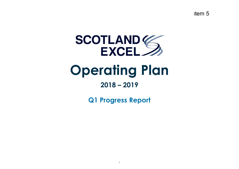Item 5



# **Operating Plan**

## **2018 – 2019**

**Q1 Progress Report**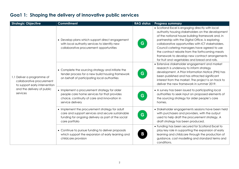| <b>Strategic Objective</b>                                                                                                         | <b>Commitment</b>                                                                                                                                                          | <b>RAG status</b> | <b>Progress summary</b>                                                                                                                                                                                                                                                                                                                                                                                                                                                   |
|------------------------------------------------------------------------------------------------------------------------------------|----------------------------------------------------------------------------------------------------------------------------------------------------------------------------|-------------------|---------------------------------------------------------------------------------------------------------------------------------------------------------------------------------------------------------------------------------------------------------------------------------------------------------------------------------------------------------------------------------------------------------------------------------------------------------------------------|
| 1.1 Deliver a programme of<br>collaborative procurement<br>to support early intervention<br>and the delivery of public<br>services | • Develop plans which support direct engagement<br>with local authority services to identify new<br>collaborative procurement opportunities                                | G                 | • Scotland Excel is engaging directly with local<br>authority housing stakeholders on the development<br>of the national house building framework and, in<br>partnership with the Digital Office, is exploring<br>collaborative opportunities with ICT stakeholders.<br>Council catering managers have agreed to use<br>the contract rebate from the forthcoming meats<br>framework to develop new contract arrangements<br>for fruit and vegetables and bread and rolls. |
|                                                                                                                                    | • Complete the sourcing strategy and initiate the<br>tender process for a new build housing framework<br>on behalf of participating local authorities                      | G                 | • Extensive stakeholder engagement and market<br>research is underway to inform strategy<br>development. A Prior Information Notice (PIN) has<br>been published and has attracted significant<br>interest from the market. The project is on track to<br>deliver the new framework in summer 2019.                                                                                                                                                                        |
|                                                                                                                                    | • Implement a procurement strategy for older<br>people care home services for that provides<br>choice, continuity of care and innovation in<br>service delivery            | G                 | • A survey has been issued to participating local<br>authorities to seek input on proposed elements of<br>the sourcing strategy for older people's care<br>homes.                                                                                                                                                                                                                                                                                                         |
|                                                                                                                                    | • Implement the procurement strategy for adult<br>care and support services and secure sustainable<br>funding for ongoing delivery as part of the social<br>care portfolio | G                 | • Stakeholder engagements sessions have been held<br>with purchasers and providers, with the output<br>used to help draft the procurement strategy. A<br>draft strategy has been produced.                                                                                                                                                                                                                                                                                |
|                                                                                                                                    | • Continue to pursue funding to deliver proposals<br>which support the expansion of early learning and<br>childcare provision                                              | B                 | • Funding has been secured for Scotland Excel to<br>play key role in supporting the expansion of early<br>learning and childcare through the production of<br>guidance, cost modelling and standard terms and<br>conditions.                                                                                                                                                                                                                                              |

#### **Goa1 1: Shaping the delivery of innovative public services**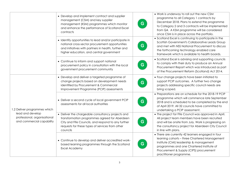|                                                                                                               | • Develop and implement contract and supplier<br>management (CSM) and key supplier<br>management (KSM) programmes which monitor<br>and enhance the performance of Scotland Excel<br>contracts<br>• Identify opportunities to lead and/or participate in<br>national cross-sector procurement opportunities<br>and initiatives with partners in health, further and<br>higher education, and central government | • Work is underway to roll out the new CSM<br>programme to all Category 1 contracts by<br>December 2018. Plans to extend the programme<br>G.<br>to Category 2 and 3 contracts will be implemented<br>from Q4. A KSM programme will be considered<br>once CSM is in place across the portfolio.<br>• Scotland Excel is continuing to participate in the<br>Scottish Government's Collaborative Leads Group<br>G.<br>and met with NSS National Procurement to discuss<br>the forthcoming technology enabled care |
|---------------------------------------------------------------------------------------------------------------|----------------------------------------------------------------------------------------------------------------------------------------------------------------------------------------------------------------------------------------------------------------------------------------------------------------------------------------------------------------------------------------------------------------|----------------------------------------------------------------------------------------------------------------------------------------------------------------------------------------------------------------------------------------------------------------------------------------------------------------------------------------------------------------------------------------------------------------------------------------------------------------------------------------------------------------|
|                                                                                                               | • Continue to inform and support national<br>procurement policy in consultation with the local<br>government procurement community                                                                                                                                                                                                                                                                             | framework which is available to health boards.<br>• Scotland Excel is advising and supporting councils<br>to comply with their duty to produce an Annual<br>G<br>Procurement Report which was introduced as part<br>of the Procurement Reform (Scotland) Act 2014.                                                                                                                                                                                                                                             |
| 1.2 Deliver programmes which<br>lead and develop<br>professional, organisational<br>and commercial capability | • Develop and deliver a targeted programme of<br>change projects based on development needs<br>identified by Procurement & Commercial<br>Improvement Programme (PCIP) assessments                                                                                                                                                                                                                              | • Four change projects have been initiated to<br>support PCIP outcomes. A further two change<br>G<br>projects addressing specific council needs are<br>bring scoped.                                                                                                                                                                                                                                                                                                                                           |
|                                                                                                               | • Deliver a second cycle of local government PCIP<br>assessments for all local authorities                                                                                                                                                                                                                                                                                                                     | • Preparations are on schedule for the 2018-19 PCIP<br>programme which will commence late September<br>G.<br>2018 and is scheduled to be completed by the end<br>of April 2019. All 32 councils have committed to<br>undertaking a PCIP assessment.                                                                                                                                                                                                                                                            |
|                                                                                                               | • Deliver the chargeable consultancy projects and<br>transformation programmes agreed for Aberdeen<br>City and Fife Councils, and respond to any further<br>requests for these types of services from other<br>councils                                                                                                                                                                                        | • The project for Fife Council was approved in April.<br>All project team members have been recruited<br>G.<br>and will be onsite from July. Work is progressing on<br>the consultancy project for Aberdeen City Council<br>in line with plans.                                                                                                                                                                                                                                                                |
|                                                                                                               | • Continue to develop and deliver accredited work-<br>based learning programmes through the Scotland<br><b>Excel Academy</b>                                                                                                                                                                                                                                                                                   | • There are currently 42 learners engaged in four<br>learning cohorts - three Chartered Management<br>Institute (CMI) leadership & management<br>G<br>programmes and one Chartered Institute of<br>Procurement & Supply (CIPS) procurement<br>practitioner programme.                                                                                                                                                                                                                                          |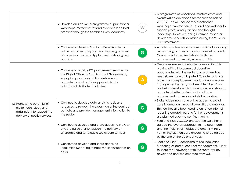|                                                                                                                      | • Develop and deliver a programme of practitioner<br>workshops, masterclasses and events to lead best<br>practice through the Scotland Excel Academy                                                                                | W  | • A programme of workshops, masterclasses and<br>events will be developed for the second half of<br>2018-19. This will include five practitioner<br>workshops, two masterclasses and one webinar to<br>support professional practice and thought<br>leadership. Topics are being informed by sector<br>development needs identified during the 2017-18<br>PCIP assessments.                                                                           |
|----------------------------------------------------------------------------------------------------------------------|-------------------------------------------------------------------------------------------------------------------------------------------------------------------------------------------------------------------------------------|----|-------------------------------------------------------------------------------------------------------------------------------------------------------------------------------------------------------------------------------------------------------------------------------------------------------------------------------------------------------------------------------------------------------------------------------------------------------|
|                                                                                                                      | • Continue to develop Scotland Excel Academy<br>online resources to support learning programmes<br>and create a community platform for sharing best<br>practice                                                                     | G  | • Academy online resources are continually evolving<br>as new programmes and cohorts are introduced.<br>Content and expertise is shared with the<br>procurement community where possible.                                                                                                                                                                                                                                                             |
| 1.3 Harness the potential of<br>digital technology and<br>data insight to support the<br>delivery of public services | • Continue to provide ICT procurement services for<br>the Digital Office for Scottish Local Government,<br>engaging proactively with stakeholders to<br>promote a collaborative approach to the<br>adoption of digital technologies |    | • Despite extensive stakeholder consultation, it is<br>proving difficult to agree collaborative<br>opportunities with the sector and progress has<br>been slower than anticipated. To date, only one<br>project, for a replacement social work care case<br>management system, has been identified. Plans<br>are being developed for stakeholder workshops to<br>promote a better understanding of how<br>procurement can support digital innovation. |
|                                                                                                                      | • Continue to develop data analytic tools and<br>resources to support the expansion of the contract<br>portfolio and provide management information to<br>the sector                                                                | G. | • Stakeholders now have online access to social<br>care information through Power BI data analytics.<br>This tool has also been used to enhance internal<br>reporting capabilities, and further developments<br>are planned over the coming months.                                                                                                                                                                                                   |
|                                                                                                                      | • Continue to develop and share access to the Cost<br>of Care calculator to support the delivery of<br>affordable and sustainable social care services                                                                              | G. | • Scotland Excel, COSLA and Scottish Care have<br>agreed the overall approach to the cost model<br>and the majority of individual elements within.<br>Remaining elements are expecting to be agreed<br>by the end of the calendar year.                                                                                                                                                                                                               |
|                                                                                                                      | • Continue to develop and share access to<br>Indexation Modelling to track market influences on<br>costs                                                                                                                            | G. | • Scotland Excel is continuing to use Indexation<br>Modelling as part of contract management. Plans<br>to share this knowledge with the sector will be<br>developed and implemented from Q3.                                                                                                                                                                                                                                                          |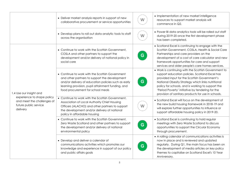|                                                                                                                          | • Deliver market analysis reports in support of new<br>collaborative procurement or service opportunities                                                                                                                                         | W  | • Implementation of new market intelligence<br>resources to support market analysis will<br>commence in Q2.                                                                                                                                                                                                                                                                |
|--------------------------------------------------------------------------------------------------------------------------|---------------------------------------------------------------------------------------------------------------------------------------------------------------------------------------------------------------------------------------------------|----|----------------------------------------------------------------------------------------------------------------------------------------------------------------------------------------------------------------------------------------------------------------------------------------------------------------------------------------------------------------------------|
|                                                                                                                          | • Develop plans to roll out data analytic tools to staff<br>across the organisation                                                                                                                                                               | W  | • Power BI data analytics tools will be rolled out staff<br>during 2019-20 once the first development phase<br>has been completed.                                                                                                                                                                                                                                         |
| 1.4 Use our insight and<br>experience to shape policy<br>and meet the challenges of<br>future public service<br>delivery | • Continue to work with the Scottish Government,<br>COSLA and other partners to support the<br>development and/or delivery of national policy in<br>social care                                                                                   | G. | • Scotland Excel is continuing to engage with the<br>Scottish Government, COSLA, Health & Social Care<br>Partnerships and care providers on the<br>development of a cost of care calculator and new<br>framework opportunities for care and support<br>services and older people's care homes services.                                                                    |
|                                                                                                                          | • Continue to work with the Scottish Government<br>and other partners to support the development<br>and/or delivery of education policies such as early<br>learning provision, pupil attainment funding, and<br>food procurement for school meals | G  | • Work is continuing with the Scottish Government to<br>support education policies. Scotland Excel has<br>provided input for the Scottish Government's<br>National Obesity Strategy which links nutritional<br>policy for schools, and is working to support the<br>'Period Poverty' initiative by tendering for the<br>provision of sanitary products for use in schools. |
|                                                                                                                          | • Continue to work with the Scottish Government,<br>Association of Local Authority Chief Housing<br>Officers (ALACHO) and other partners to support<br>the development and/or delivery of national<br>policy in affordable housing                | W  | • Scotland Excel will focus on the development of<br>the new build housing framework in 2018-19 and<br>will explore further opportunities to influence or<br>support affordable housing policy in 2019-20.                                                                                                                                                                 |
|                                                                                                                          | • Continue to work with the Scottish Government,<br>Zero Waste Scotland and other partners to support<br>the development and/or delivery of national<br>environmental policy                                                                      | G  | • Scotland Excel is continuing to hold regular<br>meetings with Zero Waste Scotland to discuss<br>opportunities to support the Circular Economy<br>through procurement.                                                                                                                                                                                                    |
|                                                                                                                          | • Develop and deliver a calendar of<br>communications activities which promotes our<br>knowledge and experience in support of our policy<br>and public affairs goals                                                                              | G  | • A rolling calendar of communications activities is<br>now in place and is reviewed and updated<br>regularly. During Q1, the main focus has been on<br>the development of media articles on key policy<br>themes to capitalise on Scotland Excel's 10 Year<br>Anniversary.                                                                                                |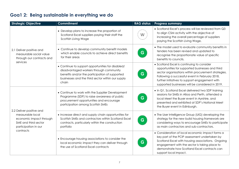### **Goa1 2: Being sustainable in everything we do**

| <b>Strategic Objective</b>                                                                                                           | <b>Commitment</b>                                                                                                                                                                                            | <b>RAG status</b> | <b>Progress summary</b>                                                                                                                                                                                                                                                                                       |
|--------------------------------------------------------------------------------------------------------------------------------------|--------------------------------------------------------------------------------------------------------------------------------------------------------------------------------------------------------------|-------------------|---------------------------------------------------------------------------------------------------------------------------------------------------------------------------------------------------------------------------------------------------------------------------------------------------------------|
| 2.1 Deliver positive and<br>measurable social value<br>through our contracts and<br>services                                         | • Develop plans to increase the proportion of<br>Scotland Excel suppliers paying their staff the<br>Scottish Living Wage                                                                                     | W                 | • Scotland Excel's process will be reviewed from Q3<br>to align CSM activity with the objective of<br>increasing the overall percentage of suppliers<br>paying the Scottish Living Wage.                                                                                                                      |
|                                                                                                                                      | • Continue to develop community benefit models<br>which enable councils to achieve direct benefits<br>for their areas                                                                                        | G                 | • The model used to evaluate community benefits in<br>tenders has been revised and updated to<br>recognise the proportionate value of specific<br>benefits to councils.                                                                                                                                       |
|                                                                                                                                      | • Continue to support opportunities for disabled/<br>disadvantaged workers through community<br>benefits and/or the participation of supported<br>businesses and the third sector within our supply<br>chain | G                 | • Scotland Excel is continuing to consider<br>opportunities for supported businesses and third<br>sector organisations within procurement strategies.<br>Following a successful event in February 2018,<br>further initiatives to support engagement with<br>supported businesses will be considered in 2019. |
| 2.2 Deliver positive and<br>measurable local<br>economic impact through<br>SME and third sector<br>participation in our<br>contracts | • Continue to work with the Supplier Development<br>Programme (SDP) to raise awareness of public<br>procurement opportunities and encourage<br>participation among Scottish SMEs                             | G                 | • In Q1, Scotland Excel delivered two SDP training<br>sessions for SMEs in Alloa and Perth, attended a<br>local Meet the Buyer event in Ayrshire, and<br>presented and exhibited at SDP's National Meet<br>the Buyer event in Edinburgh.                                                                      |
|                                                                                                                                      | • Increase direct and supply chain opportunities for<br>Scottish SMEs and contractors within Scotland Excel<br>contracts, particularly within the construction<br>portfolio                                  | G                 | • The User Intelligence Group (UIG) developing the<br>strategy for the new build housing framework are<br>considering ways to encourage SMEs to participate<br>as main contractors and sub-contractors.                                                                                                       |
|                                                                                                                                      | • Encourage housing associations to consider the<br>local economic impact they can deliver through<br>the use of Scotland Excel contracts                                                                    | G                 | • Consideration of local economic impact forms a<br>key part of the PCIP assessment undertaken by<br>Scotland Excel with housing associations. Ongoing<br>engagement with the sector is taking place to<br>demonstrate how Scotland Excel contracts can<br>support local impact.                              |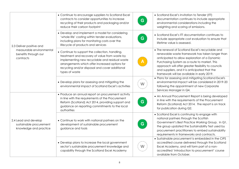| 2.3 Deliver positive and<br>measurable environmental<br>benefits through our<br>contracts | • Continue to encourage suppliers to Scotland Excel<br>contracts to consider opportunities to increase<br>recycling of their products and packaging and/or<br>reduce their carbon footprint                                                                              | G. | • Scotland Excel's Invitation to Tender (ITT)<br>documentation continues to include appropriate<br>environmental considerations including the<br>weighting and scoring of emissions.                                                                                                                                                                       |
|-------------------------------------------------------------------------------------------|--------------------------------------------------------------------------------------------------------------------------------------------------------------------------------------------------------------------------------------------------------------------------|----|------------------------------------------------------------------------------------------------------------------------------------------------------------------------------------------------------------------------------------------------------------------------------------------------------------------------------------------------------------|
|                                                                                           | • Develop and implement a model for considering<br>'whole life' costing within tender evaluations,<br>including plans for monitoring costs over the<br>lifecycle of products and services                                                                                | G  | • Scotland Excel's ITT documentation continues to<br>include appropriate cost evaluation to ensure that<br>lifetime value is assessed.                                                                                                                                                                                                                     |
|                                                                                           | • Continue to support the collection, handling,<br>treatment and recovery of value from waste by<br>implementing new recyclable and residual waste<br>arrangements which offer increased options for<br>recycling and/or disposal and cover additional<br>types of waste |    | • The renewal of Scotland Excel's recyclable and<br>renewable waste framework has taken longer than<br>anticipated to allow exploration of a Dynamic<br>Purchasing System as a route to market. This<br>approach will offer greater flexibility to councils<br>and suppliers, and it is anticipated that the<br>framework will be available in early 2019. |
|                                                                                           | • Develop plans for assessing and mitigating the<br>environmental impact of Scotland Excel's activities                                                                                                                                                                  | W  | . Plans for assessing and mitigating Scotland Excel's<br>environmental impact will be considered in 2019-20<br>following the appointment of new Corporate<br>Services Manager in Q4.                                                                                                                                                                       |
| 2.4 Lead and develop<br>sustainable procurement<br>knowledge and practice                 | • Produce an annual report on procurement activity<br>in line with the requirements of the Procurement<br>Reform (Scotland) Act 2014, providing support and<br>guidance on reporting commitments to the local<br>authorities                                             | G. | • An Annual Procurement Report is being developed<br>in line with the requirements of the Procurement<br>Reform (Scotland) Act 2014. The report is on track<br>for publication during Q2.                                                                                                                                                                  |
|                                                                                           | • Continue to work with national partners on the<br>development of sustainable procurement<br>guidance and tools                                                                                                                                                         | G  | • Scotland Excel is continuing to engage with<br>national partners through the Scottish<br>Government's Best Practice Working Group. In Q1,<br>the group updated the Sustainability Test used by<br>procurement practitioners to embed sustainability<br>requirements in frameworks and contracts.                                                         |
|                                                                                           | • Develop plans to increase the local government<br>sector's sustainable procurement knowledge and<br>capability through the Scotland Excel Academy                                                                                                                      | W  | • Sustainable procurement is embedded in the CIPS<br>accredited course delivered through the Scotland<br>Excel Academy, and will form part of a non-<br>accredited 'introduction to procurement' course<br>available from October.                                                                                                                         |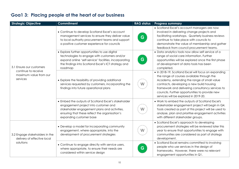| <b>Strategic Objective</b>                                                            | <b>Commitment</b>                                                                                                                                                                                                          | <b>RAG status</b> | <b>Progress summary</b>                                                                                                                                                                                                                                                                                                                       |
|---------------------------------------------------------------------------------------|----------------------------------------------------------------------------------------------------------------------------------------------------------------------------------------------------------------------------|-------------------|-----------------------------------------------------------------------------------------------------------------------------------------------------------------------------------------------------------------------------------------------------------------------------------------------------------------------------------------------|
| 3.1 Ensure our customers<br>continue to receive<br>maximum value from our<br>services | • Continue to develop Scotland Excel's account<br>management services to ensure they deliver value<br>to local authority procurement teams and support<br>a positive customer experience for councils                      | G                 | • Scotland Excel's account managers are now<br>involved in delivering change projects and<br>facilitating workshops. Quarterly business reviews<br>continue to take place with councils to<br>demonstrate the value of membership and gather<br>feedback from council procurement teams.                                                      |
|                                                                                       | • Explore further opportunities to use digital<br>technologies to engage with customers and/or<br>expand online 'self-service' facilities, incorporating<br>the findings into Scotland Excel's ICT strategy and<br>roadmap | G                 | • Data analytics tools now allow self service of a<br>range of social care information. Further<br>opportunities will be explored once the first phase<br>of development of data tools has been<br>completed.                                                                                                                                 |
|                                                                                       | • Explore the feasibility of providing additional<br>services requested by customers, incorporating the<br>findings into future operational plans                                                                          | W                 | • In 2018-19, Scotland Excel will focus on expanding<br>the range of courses available through the<br>Academy, extending the range of small value<br>contracts, developing a new build housing<br>framework and delivering consultancy services to<br>councils. Further opportunities to provide new<br>services will be explored in 2019-20. |
|                                                                                       | • Embed the outputs of Scotland Excel's stakeholder<br>engagement project into customer and<br>stakeholder engagement plans and activities,<br>ensuring that these reflect the organisation's<br>expanding customer base   | W                 | • Work to embed the outputs of Scotland Excel's<br>stakeholder engagement project will begin in Q4.<br>Tools created as part of this project will be used to<br>analyse, plan and prioritise engagement activities<br>with different stakeholder groups.                                                                                      |
| 3.2 Engage stakeholders in the<br>delivery of effective local<br>solutions            | • Develop a model for incorporating community<br>engagement, where appropriate, into the<br>development of procurement strategies                                                                                          | W                 | • Scotland Excel's approach to developing<br>procurement strategies will be reviewed later this<br>year to ensure that opportunities to engage with<br>communities are considered as part of strategy<br>development.                                                                                                                         |
|                                                                                       | • Continue to engage directly with service users,<br>where appropriate, to ensure their needs are<br>considered within service design                                                                                      | G                 | • Scotland Excel remains committed to involving<br>people who use services in the design of<br>frameworks. However, there were no relevant<br>engagement opportunities in Q1.                                                                                                                                                                 |

### `**Goa1 3: Placing people at the heart of our business**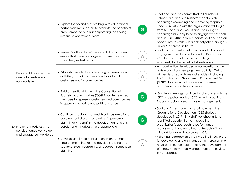|                                                                                     | • Explore the feasibility of working with educational<br>partners and/or suppliers to promote the benefits of<br>procurement to pupils, incorporating the findings<br>into future operational plans        | G. | • Scotland Excel has committed to Founders 4<br>Schools, a business to business model which<br>encourages coaching and mentoring for pupils.<br>Specific initiatives with the organisation will begin<br>from Q2. Scotland Excel is also continuing to<br>encourage its supply base to engage with schools<br>and, in June 2018, children across Scotland had an<br>opportunity to work with a celebrity chef through a<br>Junior Masterchef initiative. |
|-------------------------------------------------------------------------------------|------------------------------------------------------------------------------------------------------------------------------------------------------------------------------------------------------------|----|----------------------------------------------------------------------------------------------------------------------------------------------------------------------------------------------------------------------------------------------------------------------------------------------------------------------------------------------------------------------------------------------------------------------------------------------------------|
|                                                                                     | • Review Scotland Excel's representation activities to<br>ensure that these are targeted where they can<br>have the greatest impact                                                                        | W  | • Scotland Excel will initiate a review of all national<br>engagement activity by the end of December<br>2018 to ensure that resources are targeted<br>effectively for the benefit of stakeholders.                                                                                                                                                                                                                                                      |
| 3.3 Represent the collective<br>views of stakeholders at a<br>national level        | • Establish a model for undertaking representation<br>activities, including a clear feedback loop for<br>customers and/or communities                                                                      | W  | • A model will be developed on completion of the<br>review of national engagement activity. Outputs<br>will be discussed with key stakeholders including<br>the Scottish Local Government Procurement Forum<br>(SLGPF) to ensure that national engagement<br>activities incorporate local views.                                                                                                                                                         |
|                                                                                     | • Build on relationships with the Convention of<br>Scottish Local Authorities (COSLA) and/or elected<br>members to represent customers and communities<br>in appropriate policy and political matters      | G. | • Quarterly meetings continue to take place with the<br>CEO and policy leads at COSLA, with a particular<br>focus on social care and waste management.                                                                                                                                                                                                                                                                                                   |
| 3.4 Implement policies which<br>develop, empower, value<br>and engage our workforce | • Continue to deliver Scotland Excel's organisational<br>development strategy and rolling improvement<br>plans, involving staff in the development of plans,<br>policies and initiatives where appropriate | G  | • Scotland Excel is continuing to implement the<br>Organisational Development (OD) strategy<br>developed in 2017-18. A staff workshop in June<br>identified opportunities to improve the<br>organisation's approach to performance<br>management and recruitment. Projects will be<br>initiated to review these areas in Q2.                                                                                                                             |
|                                                                                     | • Develop and implement a talent management<br>programme to inspire and develop staff, increase<br>Scotland Excel's capability, and support succession<br>planning                                         | W  | • Following feedback at a staff meeting in Q1, plans<br>for developing a talent management programme<br>have been put on hold pending the development<br>of a new Performance Management and Review<br>(PRD) approach.                                                                                                                                                                                                                                   |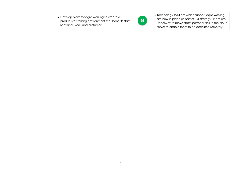| • Develop plans for agile working to create a<br>productive working environment that benefits staff,<br>Scotland Excel, and customers | G. | • Technology solutions which support agile working<br>are now in place as part of ICT strategy. Plans are<br>underway to move staff's personal files to the cloud<br>server to enable them to be accessed remotely. |
|---------------------------------------------------------------------------------------------------------------------------------------|----|---------------------------------------------------------------------------------------------------------------------------------------------------------------------------------------------------------------------|
|---------------------------------------------------------------------------------------------------------------------------------------|----|---------------------------------------------------------------------------------------------------------------------------------------------------------------------------------------------------------------------|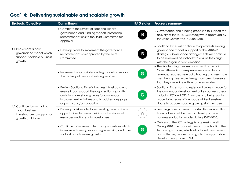| <b>Strategic Objective</b>                                                            | <b>Commitment</b>                                                                                                                                                                                                                         | <b>RAG status</b> | <b>Progress summary</b>                                                                                                                                                                                                                                          |
|---------------------------------------------------------------------------------------|-------------------------------------------------------------------------------------------------------------------------------------------------------------------------------------------------------------------------------------------|-------------------|------------------------------------------------------------------------------------------------------------------------------------------------------------------------------------------------------------------------------------------------------------------|
| 4.1 Implement a new<br>governance model which<br>supports scalable business<br>growth | • Complete the review of Scotland Excel's<br>governance and funding models, presenting<br>recommendations to the Joint Committee for<br>approval                                                                                          |                   | • Governance and funding proposals to support the<br>delivery of the 2018-23 strategy were approved by<br>the Joint Committee in June 2018.                                                                                                                      |
|                                                                                       | • Develop plans to implement the governance<br>recommendations approved by the Joint<br>Committee                                                                                                                                         |                   | • Scotland Excel will continue to operate its existing<br>governance model in support of the 2018-23<br>strategy. Governance arrangements will continue<br>to be reviewed periodically to ensure they align<br>with the organisation's ambitions.                |
|                                                                                       | • Implement appropriate funding models to support<br>the delivery of new and existing services                                                                                                                                            | G                 | • The five funding streams approved by the Joint<br>Committee - Academy revenue, consultancy<br>revenue, rebates, new build housing and associate<br>membership fees - are being monitored to ensure<br>that they are in line with income estimates.             |
| 4.2 Continue to maintain a                                                            | • Review Scotland Excel's business infrastructure to<br>ensure it can support the organisation's growth<br>ambitions, developing plans for continuous<br>improvement initiatives and to address any gaps in<br>capacity and/or capability | G                 | • Scotland Excel has strategies and plans in place for<br>the continuous development of key business areas<br>including ICT and OD. Plans are also being put in<br>place to increase office space at Renfrewshire<br>House to accommodate growing staff numbers. |
| robust business<br>infrastructure to support our<br>growth ambitions                  | • Develop a risk model for evaluating new business<br>opportunities to assess their impact on internal<br>resources and/or existing customers                                                                                             | W                 | • Learnings from business opportunities secured this<br>financial year will be used to develop a new<br>business evaluation model during 2019-2020.                                                                                                              |
|                                                                                       | • Continue to implement technology solutions which<br>increase efficiency, support agile working and offer<br>scalability for business growth                                                                                             | G                 | • Delivery of the ICT strategy is progressing well.<br>During 2018, the focus will be on consolidating the<br>technology phase, which introduced new servers<br>and software, before moving into the application<br>development phase in Q4.                     |

### **Goa1 4: Delivering sustainable and scalable growth**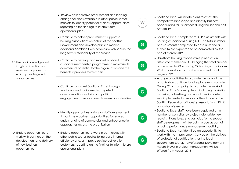|                                                                                                                           | • Review collaborative procurement and leading<br>change solutions available in other public sector<br>markets to identify potential business opportunities,<br>reporting on the findings to inform future<br>operational plans             | W  | • Scotland Excel will initiate plans to assess the<br>competitive landscape and identify business<br>opportunities for its services during the second half<br>of 2018-19.                                                                                                                                                                                                                   |
|---------------------------------------------------------------------------------------------------------------------------|---------------------------------------------------------------------------------------------------------------------------------------------------------------------------------------------------------------------------------------------|----|---------------------------------------------------------------------------------------------------------------------------------------------------------------------------------------------------------------------------------------------------------------------------------------------------------------------------------------------------------------------------------------------|
|                                                                                                                           | • Continue to deliver procurement support to<br>housing associations on behalf of the Scottish<br>Government and develop plans to market<br>additional Scotland Excel services which secure the<br>long term sustainability of this service | G. | • Scotland Excel completed 9 PCIP assessments with<br>housing associations during Q1. The total number<br>of assessments completed to date is 22 and a<br>further 44 are expected to be completed by the<br>end of March 2019                                                                                                                                                               |
| 4.3 Use our knowledge and<br>insight to identify new<br>services and/or sectors<br>which provide growth<br>opportunities  | • Continue to develop and market Scotland Excel's<br>associate membership programme to maximise its<br>commercial potential for the organisation and the<br>benefits it provides to members                                                 | G. | • Hawthorn Housing Cooperative joined as an<br>associate member in Q1, bringing the total number<br>of members to 73 including 22 housing associations.<br>Work to develop and market membership will<br>begin in Q2.                                                                                                                                                                       |
|                                                                                                                           | • Continue to market Scotland Excel through<br>traditional and social media, targeted<br>communications activity and political<br>engagement to support new business opportunities                                                          | G  | • A range of activities to promote the work of the<br>organisation continue to take place each quarter.<br>During Q1, a campaign to promote the work of<br>Scotland Excel's housing team including marketing<br>materials, advertising and social media content<br>was implemented to support attendance at the<br>Scottish Federation of Housing Associations (SFHA)<br>annual conference. |
|                                                                                                                           | • Identify opportunities arising for staff development<br>through new business opportunities, fostering an<br>understanding of commercial and entrepreneurial<br>approaches across the organisation                                         | G. | · Scotland Excel staff have been deployed on a<br>number of consultancy projects alongside new<br>recruits. Plans to extend participation to support<br>staff development will be put in place as part of<br>ongoing performance management activity.                                                                                                                                       |
| 4.4 Explore opportunities to<br>work with partners on the<br>development and delivery<br>of new business<br>opportunities | • Explore opportunities to work in partnership with<br>other public sector bodies to increase internal<br>efficiency and/or improve service delivery for<br>customers, reporting on the findings to inform future<br>operational plans      | G  | • Scotland Excel has identified an opportunity to<br>work with the Improvement Service on the delivery<br>of professional qualifications for the local<br>government sector. A Professional Development<br>Award (PDA) in project management will be<br>offered from August 2018.                                                                                                           |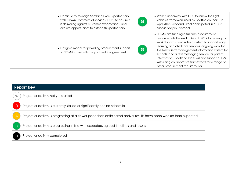| • Continue to manage Scotland Excel's partnership<br>with Crown Commercial Services (CCS) to ensure it<br>is delivering against customer expectations, and<br>explore opportunities to extend this partnership | G  | • Work is underway with CCS to renew the light<br>vehicles framework used by Scottish councils. In<br>April 2018, Scotland Excel participated in a CCS<br>supplier day in Liverpool.                                                                                                                                                                                                                                                                                |
|----------------------------------------------------------------------------------------------------------------------------------------------------------------------------------------------------------------|----|---------------------------------------------------------------------------------------------------------------------------------------------------------------------------------------------------------------------------------------------------------------------------------------------------------------------------------------------------------------------------------------------------------------------------------------------------------------------|
| • Design a model for providing procurement support<br>to SEEMIS in line with the partnership agreement                                                                                                         | G. | • SEEMIS are funding a full time procurement<br>resource until the end of March 2019 to develop a<br>workplan which includes a system to support early<br>learning and childcare services, ongoing work for<br>the Next Gen2 management information system for<br>schools, and a text messaging service for parent<br>information. Scotland Excel will also support SEEMiS<br>with using collaborative frameworks for a range of<br>other procurement requirements. |

| <b>Report Key</b> |                                                                                                                    |  |
|-------------------|--------------------------------------------------------------------------------------------------------------------|--|
| W                 | Project or activity not yet started                                                                                |  |
| <b>R</b>          | Project or activity is currently stalled or significantly behind schedule                                          |  |
| $\overline{A}$    | Project or activity is progressing at a slower pace than anticipated and/or results have been weaker than expected |  |
| <b>G</b>          | Project or activity is progressing in line with expected/agreed timelines and results                              |  |
|                   | Project or activity completed                                                                                      |  |